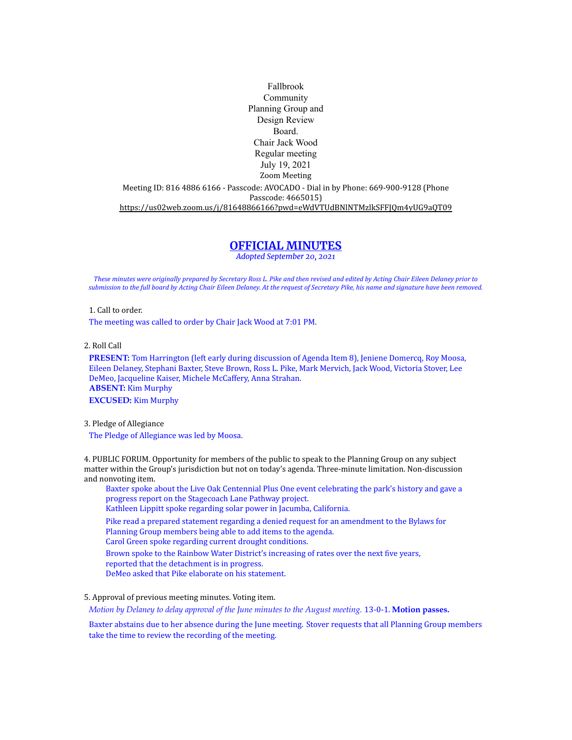Fallbrook Community Planning Group and Design Review Board. Chair Jack Wood Regular meeting July 19, 2021 Zoom Meeting Meeting ID: 816 4886 6166 - Passcode: AVOCADO - Dial in by Phone: 669-900-9128 (Phone Passcode: 4665015) <https://us02web.zoom.us/j/81648866166?pwd=eWdVTUdBNlNTMzlkSFFJQm4yUG9aQT09>

# **OFFICIAL MINUTES**

*Adopted September 20, 2021*

*These minutes were originally prepared by Secretary Ross L. Pike and then revised and edited by Acting Chair Eileen Delaney prior to submission to the full board by Acting Chair Eileen Delaney. At the request of Secretary Pike, his name and signature have been removed.*

1. Call to order.

The meeting was called to order by Chair Jack Wood at 7:01 PM.

2. Roll Call

**PRESENT:** Tom Harrington (left early during discussion of Agenda Item 8), Jeniene Domercq, Roy Moosa, Eileen Delaney, Stephani Baxter, Steve Brown, Ross L. Pike, Mark Mervich, Jack Wood, Victoria Stover, Lee DeMeo, Jacqueline Kaiser, Michele McCaffery, Anna Strahan. **ABSENT:** Kim Murphy **EXCUSED:** Kim Murphy

3. Pledge of Allegiance

The Pledge of Allegiance was led by Moosa.

4. PUBLIC FORUM. Opportunity for members of the public to speak to the Planning Group on any subject matter within the Group's jurisdiction but not on today's agenda. Three-minute limitation. Non-discussion and nonvoting item.

Baxter spoke about the Live Oak Centennial Plus One event celebrating the park's history and gave a progress report on the Stagecoach Lane Pathway project.

Kathleen Lippitt spoke regarding solar power in Jacumba, California.

Pike read a prepared statement regarding a denied request for an amendment to the Bylaws for Planning Group members being able to add items to the agenda.

Carol Green spoke regarding current drought conditions.

Brown spoke to the Rainbow Water District's increasing of rates over the next five years,

- reported that the detachment is in progress.
- DeMeo asked that Pike elaborate on his statement.

## 5. Approval of previous meeting minutes. Voting item.

*Motion by Delaney to delay approval of the June minutes to the August meeting.* 13-0-1. **Motion passes.**

Baxter abstains due to her absence during the June meeting. Stover requests that all Planning Group members take the time to review the recording of the meeting.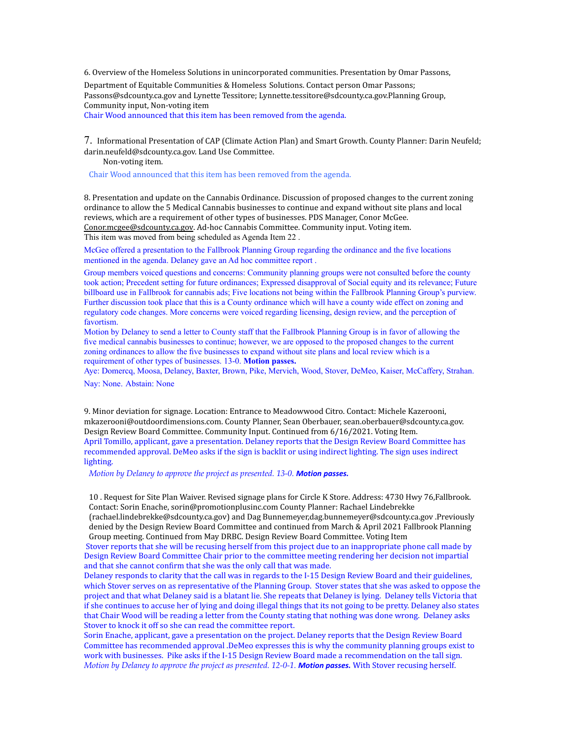6. Overview of the Homeless Solutions in unincorporated communities. Presentation by Omar Passons, Department of Equitable Communities & Homeless Solutions. Contact person Omar Passons; [Passons@sdcounty.ca.gov](mailto:Passons@sdcounty.ca.gov) and Lynette Tessitore; [Lynnette.tessitore@sdcounty.ca.gov.Planning](mailto:Lynnette.tessitore@sdcounty.ca.gov.Planning) Group, Community input, Non-voting item

Chair Wood announced that this item has been removed from the agenda.

7. Informational Presentation of CAP (Climate Action Plan) and Smart Growth. County Planner: Darin Neufeld; [darin.neufeld@sdcounty.ca.gov.](mailto:darin.neufeld@sdcounty.ca.gov) Land Use Committee.

Non-voting item.

Chair Wood announced that this item has been removed from the agenda.

8. Presentation and update on the Cannabis Ordinance. Discussion of proposed changes to the current zoning ordinance to allow the 5 Medical Cannabis businesses to continue and expand without site plans and local reviews, which are a requirement of other types of businesses. PDS Manager, Conor McGee. [Conor.mcgee@sdcounty.ca.gov](mailto:Conor.mcgee@sdcounty.ca.gov). Ad-hoc Cannabis Committee. Community input. Voting item. This item was moved from being scheduled as Agenda Item 22 .

McGee offered a presentation to the Fallbrook Planning Group regarding the ordinance and the five locations mentioned in the agenda. Delaney gave an Ad hoc committee report .

Group members voiced questions and concerns: Community planning groups were not consulted before the county took action; Precedent setting for future ordinances; Expressed disapproval of Social equity and its relevance; Future billboard use in Fallbrook for cannabis ads; Five locations not being within the Fallbrook Planning Group's purview. Further discussion took place that this is a County ordinance which will have a county wide effect on zoning and regulatory code changes. More concerns were voiced regarding licensing, design review, and the perception of favortism.

Motion by Delaney to send a letter to County staff that the Fallbrook Planning Group is in favor of allowing the five medical cannabis businesses to continue; however, we are opposed to the proposed changes to the current zoning ordinances to allow the five businesses to expand without site plans and local review which is a requirement of other types of businesses. 13-0. **Motion passes.**

Aye: Domercq, Moosa, Delaney, Baxter, Brown, Pike, Mervich, Wood, Stover, DeMeo, Kaiser, McCaffery, Strahan. Nay: None. Abstain: None

9. Minor deviation for signage. Location: Entrance to Meadowwood Citro. Contact: Michele Kazerooni, [mkazerooni@outdoordimensions.com.](mailto:mkazerooni@outdoordimensions.com) County Planner, Sean Oberbauer, [sean.oberbauer@sdcounty.ca.gov.](mailto:sean.oberbauer@sdcounty.ca.gov) Design Review Board Committee. Community Input. Continued from 6/16/2021. Voting Item. April Tomillo, applicant, gave a presentation. Delaney reports that the Design Review Board Committee has recommended approval. DeMeo asks if the sign is backlit or using indirect lighting. The sign uses indirect lighting.

*Motion by Delaney to approve the project as presented. 13-0. Motion passes.*

10 . Request for Site Plan Waiver. Revised signage plans for Circle K Store. Address: 4730 Hwy 76,Fallbrook. Contact: Sorin Enache, [sorin@promotionplusinc.com](mailto:sorin@promotionplusinc.com) County Planner: Rachael Lindebrekke

(rachael.lindebrekke@sdcounty.ca.gov) and Dag [Bunnemeyer,dag.bunnemeyer@sdcounty.ca.gov](mailto:Bunnemeyer%2Cdag.bunnemeyer@sdcounty.ca.gov) .Previously denied by the Design Review Board Committee and continued from March & April 2021 Fallbrook Planning Group meeting. Continued from May DRBC. Design Review Board Committee. Voting Item

Stover reports that she will be recusing herself from this project due to an inappropriate phone call made by Design Review Board Committee Chair prior to the committee meeting rendering her decision not impartial and that she cannot confirm that she was the only call that was made.

Delaney responds to clarity that the call was in regards to the I-15 Design Review Board and their guidelines, which Stover serves on as representative of the Planning Group. Stover states that she was asked to oppose the project and that what Delaney said is a blatant lie. She repeats that Delaney is lying. Delaney tells Victoria that if she continues to accuse her of lying and doing illegal things that its not going to be pretty. Delaney also states that Chair Wood will be reading a letter from the County stating that nothing was done wrong. Delaney asks Stover to knock it off so she can read the committee report.

Sorin Enache, applicant, gave a presentation on the project. Delaney reports that the Design Review Board Committee has recommended approval .DeMeo expresses this is why the community planning groups exist to work with businesses. Pike asks if the I-15 Design Review Board made a recommendation on the tall sign. *Motion by Delaney to approve the project as presented. 12-0-1. Motion passes.* With Stover recusing herself.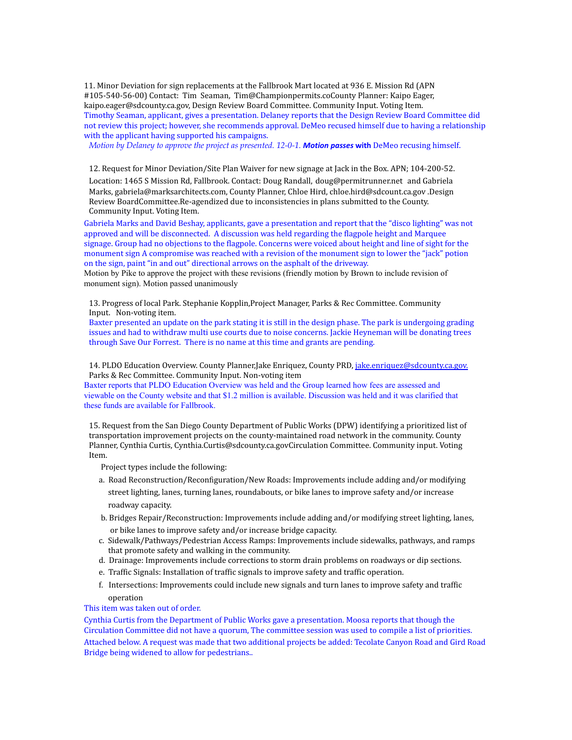11. Minor Deviation for sign replacements at the Fallbrook Mart located at 936 E. Mission Rd (APN #105-540-56-00) Contact: Tim Seaman, [Tim@Championpermits.coC](mailto:Tim@Championpermits.com)ounty Planner: Kaipo Eager, [kaipo.eager@sdcounty.ca.gov,](mailto:kaipo.eager@sdcounty.ca.gov) Design Review Board Committee. Community Input. Voting Item. Timothy Seaman, applicant, gives a presentation. Delaney reports that the Design Review Board Committee did not review this project; however, she recommends approval. DeMeo recused himself due to having a relationship with the applicant having supported his campaigns.

*Motion by Delaney to approve the project as presented. 12-0-1. Motion passes* **with** DeMeo recusing himself.

12. Request for Minor Deviation/Site Plan Waiver for new signage at Jack in the Box. APN; 104-200-52. Location: 1465 S Mission Rd, Fallbrook. Contact: Doug Randall, [doug@permitrunner.net](mailto:doug@permitrunner.net) and Gabriela Marks, [gabriela@marksarchitects.com,](mailto:gabriela@marksarchitects.com) County Planner, Chloe Hird, [chloe.hird@sdcount.ca.gov](mailto:chloe.hird@sdcount.ca.gov) .Design Review BoardCommittee.Re-agendized due to inconsistencies in plans submitted to the County. Community Input. Voting Item.

Gabriela Marks and David Beshay, applicants, gave a presentation and report that the "disco lighting" was not approved and will be disconnected. A discussion was held regarding the flagpole height and Marquee signage. Group had no objections to the flagpole. Concerns were voiced about height and line of sight for the monument sign A compromise was reached with a revision of the monument sign to lower the "jack" potion on the sign, paint "in and out" directional arrows on the asphalt of the driveway.

Motion by Pike to approve the project with these revisions (friendly motion by Brown to include revision of monument sign). Motion passed unanimously

13. Progress of local Park. Stephanie Kopplin,Project Manager, Parks & Rec Committee. Community Input. Non-voting item.

Baxter presented an update on the park stating it is still in the design phase. The park is undergoing grading issues and had to withdraw multi use courts due to noise concerns. Jackie Heyneman will be donating trees through Save Our Forrest. There is no name at this time and grants are pending.

14. PLDO Education Overview. County Planner, Jake Enriquez, County PRD, jake.enriquez@sdcounty.ca.gov. Parks & Rec Committee. Community Input. Non-voting item

Baxter reports that PLDO Education Overview was held and the Group learned how fees are assessed and viewable on the County website and that \$1.2 million is available. Discussion was held and it was clarified that these funds are available for Fallbrook.

15. Request from the San Diego County Department of Public Works (DPW) identifying a prioritized list of transportation improvement projects on the county-maintained road network in the community. County Planner, Cynthia Curtis, [Cynthia.Curtis@sdcounty.ca.govCirculation](mailto:Cynthia.Curtis@sdcounty.ca.govCirculation) Committee. Community input. Voting Item.

Project types include the following:

- a. Road Reconstruction/Reconfiguration/New Roads: Improvements include adding and/or modifying street lighting, lanes, turning lanes, roundabouts, or bike lanes to improve safety and/or increase roadway capacity.
- b. Bridges Repair/Reconstruction: Improvements include adding and/or modifying street lighting, lanes, or bike lanes to improve safety and/or increase bridge capacity.
- c. Sidewalk/Pathways/Pedestrian Access Ramps: Improvements include sidewalks, pathways, and ramps that promote safety and walking in the community.
- d. Drainage: Improvements include corrections to storm drain problems on roadways or dip sections.
- e. Traffic Signals: Installation of traffic signals to improve safety and traffic operation.
- f. Intersections: Improvements could include new signals and turn lanes to improve safety and traffic operation

## This item was taken out of order.

Cynthia Curtis from the Department of Public Works gave a presentation. Moosa reports that though the Circulation Committee did not have a quorum, The committee session was used to compile a list of priorities. Attached below. A request was made that two additional projects be added: Tecolate Canyon Road and Gird Road Bridge being widened to allow for pedestrians..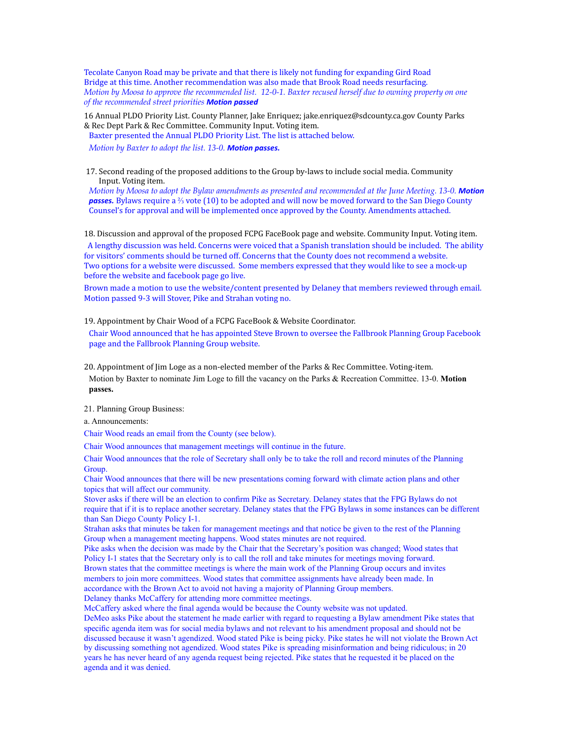Tecolate Canyon Road may be private and that there is likely not funding for expanding Gird Road Bridge at this time. Another recommendation was also made that Brook Road needs resurfacing. *Motion by Moosa to approve the recommended list. 12-0-1. Baxter recused herself due to owning property on one of the recommended street priorities Motion passed*

16 Annual PLDO Priority List. County Planner, Jake Enriquez; [jake.enriquez@sdcounty.ca.gov](mailto:jake.enriquez@sdcounty.ca.gov) County Parks & Rec Dept Park & Rec Committee. Community Input. Voting item.

Baxter presented the Annual PLDO Priority List. The list is attached below.

*Motion by Baxter to adopt the list. 13-0. Motion passes.*

17. Second reading of the proposed additions to the Group by-laws to include social media. Community Input. Voting item.

*Motion by Moosa to adopt the Bylaw amendments as presented and recommended at the June Meeting. 13-0. Motion* **passes.** Bylaws require a ⅔ vote (10) to be adopted and will now be moved forward to the San Diego County Counsel's for approval and will be implemented once approved by the County. Amendments attached.

18. Discussion and approval of the proposed FCPG FaceBook page and website. Community Input. Voting item.

A lengthy discussion was held. Concerns were voiced that a Spanish translation should be included. The ability for visitors' comments should be turned off. Concerns that the County does not recommend a website. Two options for a website were discussed. Some members expressed that they would like to see a mock-up before the website and facebook page go live.

Brown made a motion to use the website/content presented by Delaney that members reviewed through email. Motion passed 9-3 will Stover, Pike and Strahan voting no.

19. Appointment by Chair Wood of a FCPG FaceBook & Website Coordinator.

Chair Wood announced that he has appointed Steve Brown to oversee the Fallbrook Planning Group Facebook page and the Fallbrook Planning Group website.

20. Appointment of Jim Loge as a non-elected member of the Parks & Rec Committee. Voting-item. Motion by Baxter to nominate Jim Loge to fill the vacancy on the Parks & Recreation Committee. 13-0. **Motion passes.**

21. Planning Group Business:

a. Announcements:

Chair Wood reads an email from the County (see below).

Chair Wood announces that management meetings will continue in the future.

Chair Wood announces that the role of Secretary shall only be to take the roll and record minutes of the Planning Group.

Chair Wood announces that there will be new presentations coming forward with climate action plans and other topics that will affect our community.

Stover asks if there will be an election to confirm Pike as Secretary. Delaney states that the FPG Bylaws do not require that if it is to replace another secretary. Delaney states that the FPG Bylaws in some instances can be different than San Diego County Policy I-1.

Strahan asks that minutes be taken for management meetings and that notice be given to the rest of the Planning Group when a management meeting happens. Wood states minutes are not required.

Pike asks when the decision was made by the Chair that the Secretary's position was changed; Wood states that Policy I-1 states that the Secretary only is to call the roll and take minutes for meetings moving forward. Brown states that the committee meetings is where the main work of the Planning Group occurs and invites members to join more committees. Wood states that committee assignments have already been made. In accordance with the Brown Act to avoid not having a majority of Planning Group members. Delaney thanks McCaffery for attending more committee meetings.

McCaffery asked where the final agenda would be because the County website was not updated.

DeMeo asks Pike about the statement he made earlier with regard to requesting a Bylaw amendment Pike states that specific agenda item was for social media bylaws and not relevant to his amendment proposal and should not be discussed because it wasn't agendized. Wood stated Pike is being picky. Pike states he will not violate the Brown Act by discussing something not agendized. Wood states Pike is spreading misinformation and being ridiculous; in 20 years he has never heard of any agenda request being rejected. Pike states that he requested it be placed on the agenda and it was denied.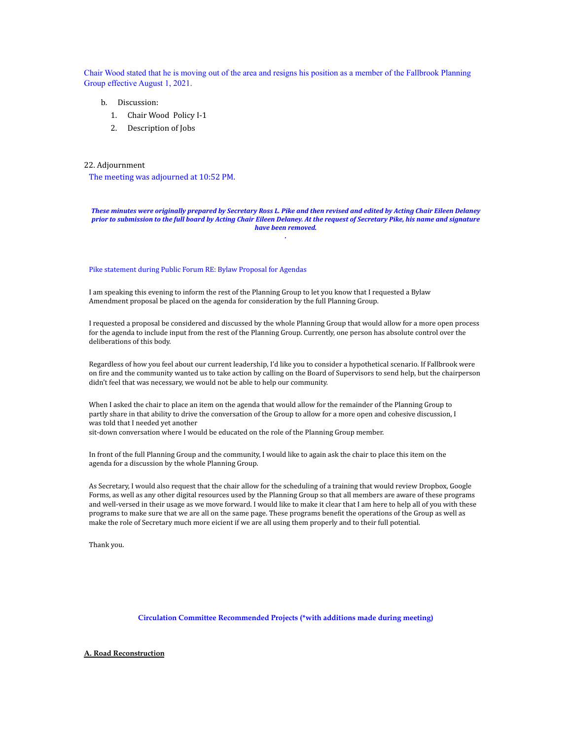Chair Wood stated that he is moving out of the area and resigns his position as a member of the Fallbrook Planning Group effective August 1, 2021.

- b. Discussion:
	- 1. Chair Wood Policy I-1
	- 2. Description of Jobs

## 22. Adjournment

The meeting was adjourned at 10:52 PM.

#### *These minutes were originally prepared by Secretary Ross L. Pike and then revised and edited by Acting Chair Eileen Delaney prior to submission to the full board by Acting Chair Eileen Delaney. At the request of Secretary Pike, his name and signature have been removed. .*

#### Pike statement during Public Forum RE: Bylaw Proposal for Agendas

I am speaking this evening to inform the rest of the Planning Group to let you know that I requested a Bylaw Amendment proposal be placed on the agenda for consideration by the full Planning Group.

I requested a proposal be considered and discussed by the whole Planning Group that would allow for a more open process for the agenda to include input from the rest of the Planning Group. Currently, one person has absolute control over the deliberations of this body.

Regardless of how you feel about our current leadership, I'd like you to consider a hypothetical scenario. If Fallbrook were on fire and the community wanted us to take action by calling on the Board of Supervisors to send help, but the chairperson didn't feel that was necessary, we would not be able to help our community.

When I asked the chair to place an item on the agenda that would allow for the remainder of the Planning Group to partly share in that ability to drive the conversation of the Group to allow for a more open and cohesive discussion, I was told that I needed yet another sit-down conversation where I would be educated on the role of the Planning Group member.

In front of the full Planning Group and the community, I would like to again ask the chair to place this item on the agenda for a discussion by the whole Planning Group.

As Secretary, I would also request that the chair allow for the scheduling of a training that would review Dropbox, Google Forms, as well as any other digital resources used by the Planning Group so that all members are aware of these programs and well-versed in their usage as we move forward. I would like to make it clear that I am here to help all of you with these programs to make sure that we are all on the same page. These programs benefit the operations of the Group as well as make the role of Secretary much more eicient if we are all using them properly and to their full potential.

Thank you.

### **Circulation Committee Recommended Projects (\*with additions made during meeting)**

#### **A. Road Reconstruction**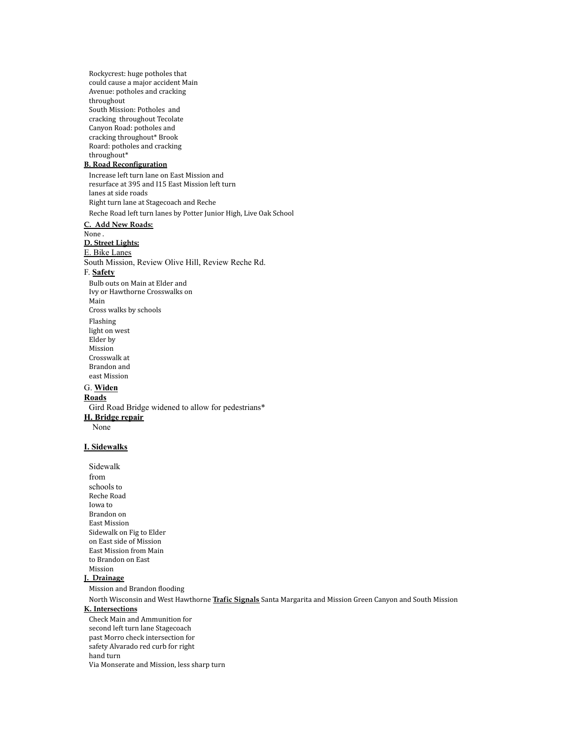Rockycrest: huge potholes that could cause a major accident Main Avenue: potholes and cracking throughout South Mission: Potholes and cracking throughout Tecolate Canyon Road: potholes and cracking throughout\* Brook Roard: potholes and cracking throughout\* **B. Road Reconfiguration** Increase left turn lane on East Mission and resurface at 395 and I15 East Mission left turn lanes at side roads Right turn lane at Stagecoach and Reche Reche Road left turn lanes by Potter Junior High, Live Oak School **C. Add New Roads:** None . **D. Street Lights:** E. Bike Lanes South Mission, Review Olive Hill, Review Reche Rd. F. **Safety** Bulb outs on Main at Elder and Ivy or Hawthorne Crosswalks on Main Cross walks by schools Flashing light on west Elder by Mission Crosswalk at Brandon and east Mission G. **Widen Roads** Gird Road Bridge widened to allow for pedestrians\* **H. Bridge repair** None **I. Sidewalks** Sidewalk from schools to Reche Road

Iowa to Brandon on East Mission Sidewalk on Fig to Elder on East side of Mission East Mission from Main to Brandon on East Mission

# **J. Drainage**

Mission and Brandon flooding

North Wisconsin and West Hawthorne **Trafic Signals** Santa Margarita and Mission Green Canyon and South Mission

# **K. Intersections**

Check Main and Ammunition for second left turn lane Stagecoach past Morro check intersection for safety Alvarado red curb for right hand turn Via Monserate and Mission, less sharp turn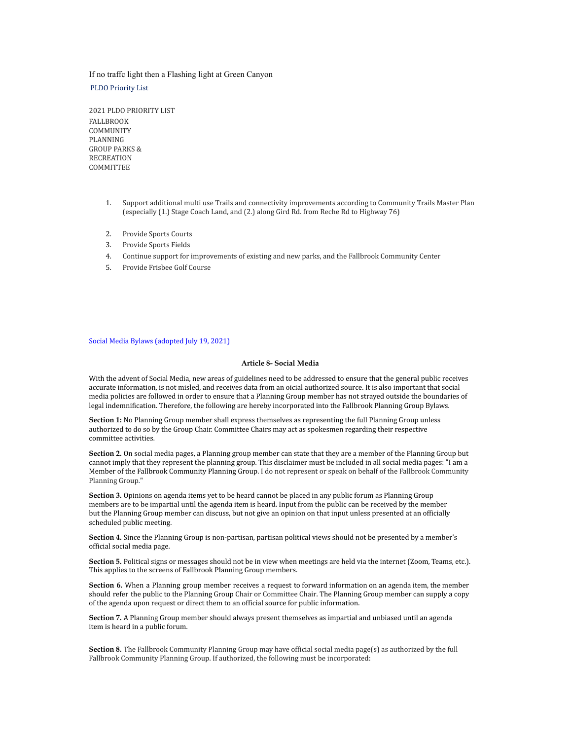### If no traffc light then a Flashing light at Green Canyon

### PLDO Priority List

2021 PLDO PRIORITY LIST FALLBROOK COMMUNITY PLANNING GROUP PARKS & RECREATION **COMMITTEE** 

- 1. Support additional multi use Trails and connectivity improvements according to Community Trails Master Plan (especially (1.) Stage Coach Land, and (2.) along Gird Rd. from Reche Rd to Highway 76)
- 2. Provide Sports Courts
- 3. Provide Sports Fields
- 4. Continue support for improvements of existing and new parks, and the Fallbrook Community Center
- 5. Provide Frisbee Golf Course

### Social Media Bylaws (adopted July 19, 2021)

### **Article 8- Social Media**

With the advent of Social Media, new areas of guidelines need to be addressed to ensure that the general public receives accurate information, is not misled, and receives data from an oicial authorized source. It is also important that social media policies are followed in order to ensure that a Planning Group member has not strayed outside the boundaries of legal indemnification. Therefore, the following are hereby incorporated into the Fallbrook Planning Group Bylaws.

**Section 1:** No Planning Group member shall express themselves as representing the full Planning Group unless authorized to do so by the Group Chair. Committee Chairs may act as spokesmen regarding their respective committee activities.

**Section 2.** On social media pages, a Planning group member can state that they are a member of the Planning Group but cannot imply that they represent the planning group. This disclaimer must be included in all social media pages: "I am a Member of the Fallbrook Community Planning Group. I do not represent or speak on behalf of the Fallbrook Community Planning Group."

**Section 3.** Opinions on agenda items yet to be heard cannot be placed in any public forum as Planning Group members are to be impartial until the agenda item is heard. Input from the public can be received by the member but the Planning Group member can discuss, but not give an opinion on that input unless presented at an officially scheduled public meeting.

**Section 4.** Since the Planning Group is non-partisan, partisan political views should not be presented by a member's official social media page.

**Section 5.** Political signs or messages should not be in view when meetings are held via the internet (Zoom, Teams, etc.). This applies to the screens of Fallbrook Planning Group members.

**Section 6.** When a Planning group member receives a request to forward information on an agenda item, the member should refer the public to the Planning Group Chair or Committee Chair. The Planning Group member can supply a copy of the agenda upon request or direct them to an official source for public information.

**Section 7.** A Planning Group member should always present themselves as impartial and unbiased until an agenda item is heard in a public forum.

**Section 8.** The Fallbrook Community Planning Group may have official social media page(s) as authorized by the full Fallbrook Community Planning Group. If authorized, the following must be incorporated: